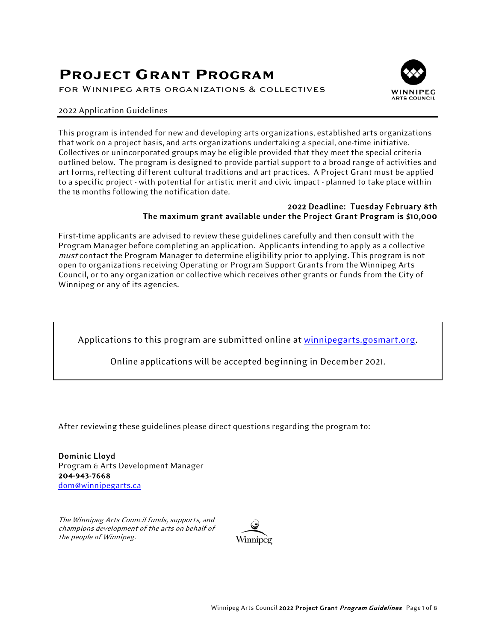# **PROJECT GRANT PROGRAM**

for Winnipeg arts organizations & collectives



#### 2022 Application Guidelines

This program is intended for new and developing arts organizations, established arts organizations that work on a project basis, and arts organizations undertaking a special, one-time initiative. Collectives or unincorporated groups may be eligible provided that they meet the special criteria outlined below. The program is designed to provide partial support to a broad range of activities and art forms, reflecting different cultural traditions and art practices. A Project Grant must be applied to a specific project - with potential for artistic merit and civic impact - planned to take place within the 18 months following the notification date.

#### 2022 Deadline: Tuesday February 8th The maximum grant available under the Project Grant Program is \$10,000

First-time applicants are advised to review these guidelines carefully and then consult with the Program Manager before completing an application. Applicants intending to apply as a collective must contact the Program Manager to determine eligibility prior to applying. This program is not open to organizations receiving Operating or Program Support Grants from the Winnipeg Arts Council, or to any organization or collective which receives other grants or funds from the City of Winnipeg or any of its agencies.

Applications to this program are submitted online at [winnipegarts.gosmart.org.](https://winnipegarts.gosmart.org/)

Online applications will be accepted beginning in December 2021.

After reviewing these guidelines please direct questions regarding the program to:

Dominic Lloyd Program & Arts Development Manager 204-943-7668 [dom@winnipegarts.ca](mailto:dom@winnipegarts.ca)

The Winnipeg Arts Council funds, supports, and champions development of the arts on behalf of the people of Winnipeg.

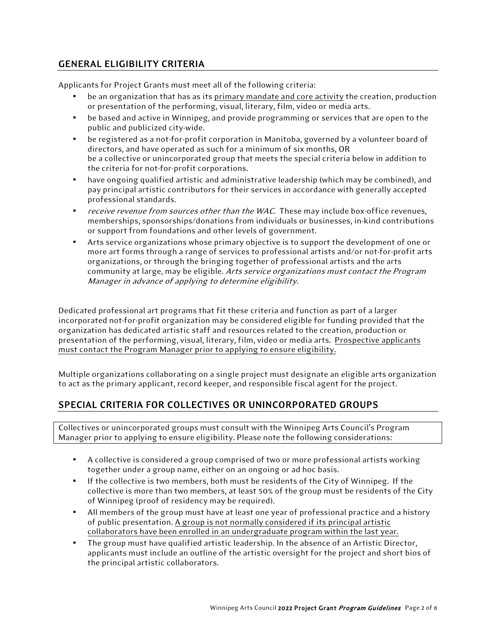# GENERAL ELIGIBILITY CRITERIA

Applicants for Project Grants must meet all of the following criteria:

- be an organization that has as its primary mandate and core activity the creation, production or presentation of the performing, visual, literary, film, video or media arts.
- be based and active in Winnipeg, and provide programming or services that are open to the public and publicized city-wide.
- be registered as a not-for-profit corporation in Manitoba, governed by a volunteer board of directors, and have operated as such for a minimum of six months, OR be a collective or unincorporated group that meets the special criteria below in addition to the criteria for not-for-profit corporations.
- have ongoing qualified artistic and administrative leadership (which may be combined), and pay principal artistic contributors for their services in accordance with generally accepted professional standards.
- receive revenue from sources other than the WAC. These may include box-office revenues, memberships, sponsorships/donations from individuals or businesses, in-kind contributions or support from foundations and other levels of government.
- Arts service organizations whose primary objective is to support the development of one or more art forms through a range of services to professional artists and/or not-for-profit arts organizations, or through the bringing together of professional artists and the arts community at large, may be eligible. Arts service organizations must contact the Program Manager in advance of applying to determine eligibility.

Dedicated professional art programs that fit these criteria and function as part of a larger incorporated not-for-profit organization may be considered eligible for funding provided that the organization has dedicated artistic staff and resources related to the creation, production or presentation of the performing, visual, literary, film, video or media arts. Prospective applicants must contact the Program Manager prior to applying to ensure eligibility.

Multiple organizations collaborating on a single project must designate an eligible arts organization to act as the primary applicant, record keeper, and responsible fiscal agent for the project.

# SPECIAL CRITERIA FOR COLLECTIVES OR UNINCORPORATED GROUPS

Collectives or unincorporated groups must consult with the Winnipeg Arts Council's Program Manager prior to applying to ensure eligibility. Please note the following considerations:

- A collective is considered a group comprised of two or more professional artists working together under a group name, either on an ongoing or ad hoc basis.
- If the collective is two members, both must be residents of the City of Winnipeg. If the collective is more than two members, at least 50% of the group must be residents of the City of Winnipeg (proof of residency may be required).
- All members of the group must have at least one year of professional practice and a history of public presentation. A group is not normally considered if its principal artistic collaborators have been enrolled in an undergraduate program within the last year.
- The group must have qualified artistic leadership. In the absence of an Artistic Director, applicants must include an outline of the artistic oversight for the project and short bios of the principal artistic collaborators.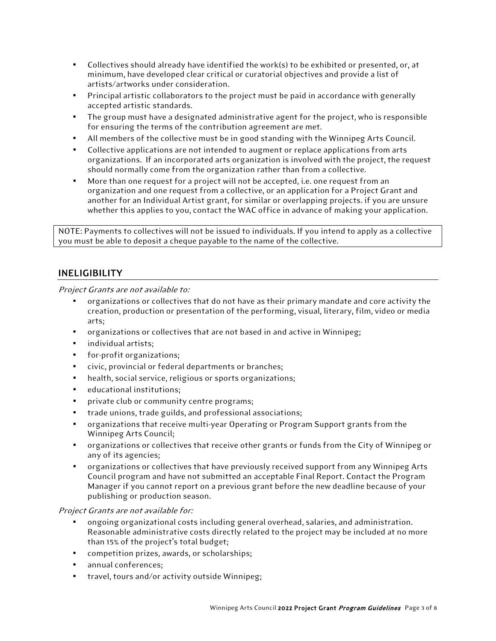- Collectives should already have identified the work(s) to be exhibited or presented, or, at minimum, have developed clear critical or curatorial objectives and provide a list of artists/artworks under consideration.
- Principal artistic collaborators to the project must be paid in accordance with generally accepted artistic standards.
- The group must have a designated administrative agent for the project, who is responsible for ensuring the terms of the contribution agreement are met.
- All members of the collective must be in good standing with the Winnipeg Arts Council.
- Collective applications are not intended to augment or replace applications from arts organizations. If an incorporated arts organization is involved with the project, the request should normally come from the organization rather than from a collective.
- More than one request for a project will not be accepted, i.e. one request from an organization and one request from a collective, or an application for a Project Grant and another for an Individual Artist grant, for similar or overlapping projects. if you are unsure whether this applies to you, contact the WAC office in advance of making your application.

NOTE: Payments to collectives will not be issued to individuals. If you intend to apply as a collective you must be able to deposit a cheque payable to the name of the collective.

### INELIGIBILITY

Project Grants are not available to:

- organizations or collectives that do not have as their primary mandate and core activity the creation, production or presentation of the performing, visual, literary, film, video or media arts;
- organizations or collectives that are not based in and active in Winnipeg;
- individual artists;
- for-profit organizations;
- civic, provincial or federal departments or branches;
- health, social service, religious or sports organizations;
- educational institutions;
- private club or community centre programs;
- trade unions, trade guilds, and professional associations;
- organizations that receive multi-year Operating or Program Support grants from the Winnipeg Arts Council;
- organizations or collectives that receive other grants or funds from the City of Winnipeg or any of its agencies;
- organizations or collectives that have previously received support from any Winnipeg Arts Council program and have not submitted an acceptable Final Report. Contact the Program Manager if you cannot report on a previous grant before the new deadline because of your publishing or production season.

### Project Grants are not available for:

- ongoing organizational costs including general overhead, salaries, and administration. Reasonable administrative costs directly related to the project may be included at no more than 15% of the project's total budget;
- competition prizes, awards, or scholarships;
- annual conferences;
- travel, tours and/or activity outside Winnipeg;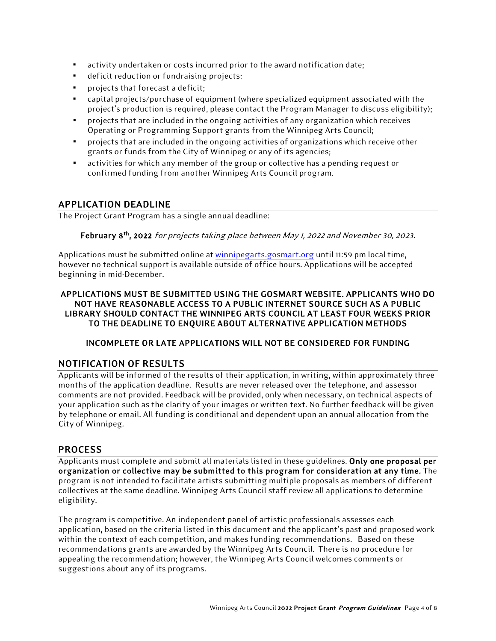- activity undertaken or costs incurred prior to the award notification date;
- deficit reduction or fundraising projects;
- projects that forecast a deficit;
- capital projects/purchase of equipment (where specialized equipment associated with the project's production is required, please contact the Program Manager to discuss eligibility);
- projects that are included in the ongoing activities of any organization which receives Operating or Programming Support grants from the Winnipeg Arts Council;
- projects that are included in the ongoing activities of organizations which receive other grants or funds from the City of Winnipeg or any of its agencies;
- activities for which any member of the group or collective has a pending request or confirmed funding from another Winnipeg Arts Council program.

### APPLICATION DEADLINE

The Project Grant Program has a single annual deadline:

February 8<sup>th</sup>, 2022 for projects taking place between May 1, 2022 and November 30, 2023.

Applications must be submitted online at [winnipegarts.gosmart.org](https://winnipegarts.gosmart.org/login.php) until 11:59 pm local time, however no technical support is available outside of office hours. Applications will be accepted beginning in mid-December.

### APPLICATIONS MUST BE SUBMITTED USING THE GOSMART WEBSITE. APPLICANTS WHO DO NOT HAVE REASONABLE ACCESS TO A PUBLIC INTERNET SOURCE SUCH AS A PUBLIC LIBRARY SHOULD CONTACT THE WINNIPEG ARTS COUNCIL AT LEAST FOUR WEEKS PRIOR TO THE DEADLINE TO ENQUIRE ABOUT ALTERNATIVE APPLICATION METHODS

### INCOMPLETE OR LATE APPLICATIONS WILL NOT BE CONSIDERED FOR FUNDING

### NOTIFICATION OF RESULTS

Applicants will be informed of the results of their application, in writing, within approximately three months of the application deadline. Results are never released over the telephone, and assessor comments are not provided. Feedback will be provided, only when necessary, on technical aspects of your application such as the clarity of your images or written text. No further feedback will be given by telephone or email. All funding is conditional and dependent upon an annual allocation from the City of Winnipeg.

### PROCESS

Applicants must complete and submit all materials listed in these guidelines. Only one proposal per organization or collective may be submitted to this program for consideration at any time. The program is not intended to facilitate artists submitting multiple proposals as members of different collectives at the same deadline. Winnipeg Arts Council staff review all applications to determine eligibility.

The program is competitive. An independent panel of artistic professionals assesses each application, based on the criteria listed in this document and the applicant's past and proposed work within the context of each competition, and makes funding recommendations. Based on these recommendations grants are awarded by the Winnipeg Arts Council. There is no procedure for appealing the recommendation; however, the Winnipeg Arts Council welcomes comments or suggestions about any of its programs.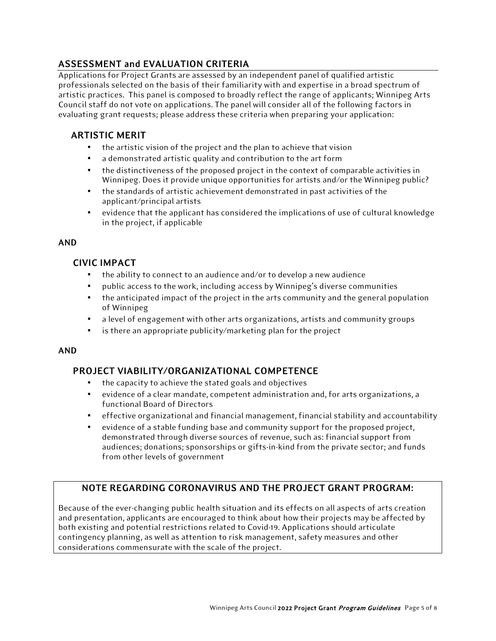# ASSESSMENT and EVALUATION CRITERIA

Applications for Project Grants are assessed by an independent panel of qualified artistic professionals selected on the basis of their familiarity with and expertise in a broad spectrum of artistic practices. This panel is composed to broadly reflect the range of applicants; Winnipeg Arts Council staff do not vote on applications. The panel will consider all of the following factors in evaluating grant requests; please address these criteria when preparing your application:

# ARTISTIC MERIT

- the artistic vision of the project and the plan to achieve that vision
- a demonstrated artistic quality and contribution to the art form
- the distinctiveness of the proposed project in the context of comparable activities in Winnipeg. Does it provide unique opportunities for artists and/or the Winnipeg public?
- the standards of artistic achievement demonstrated in past activities of the applicant/principal artists
- evidence that the applicant has considered the implications of use of cultural knowledge in the project, if applicable

# AND

# CIVIC IMPACT

- the ability to connect to an audience and/or to develop a new audience
- public access to the work, including access by Winnipeg's diverse communities
- $\bullet$  the anticipated impact of the project in the arts community and the general population of Winnipeg
- a level of engagement with other arts organizations, artists and community groups
- is there an appropriate publicity/marketing plan for the project

### AND

# PROJECT VIABILITY/ORGANIZATIONAL COMPETENCE

- the capacity to achieve the stated goals and objectives
- evidence of a clear mandate, competent administration and, for arts organizations, a functional Board of Directors
- effective organizational and financial management, financial stability and accountability
- evidence of a stable funding base and community support for the proposed project, demonstrated through diverse sources of revenue, such as: financial support from audiences; donations; sponsorships or gifts-in-kind from the private sector; and funds from other levels of government

# NOTE REGARDING CORONAVIRUS AND THE PROJECT GRANT PROGRAM:

Because of the ever-changing public health situation and its effects on all aspects of arts creation and presentation, applicants are encouraged to think about how their projects may be affected by both existing and potential restrictions related to Covid-19. Applications should articulate contingency planning, as well as attention to risk management, safety measures and other considerations commensurate with the scale of the project.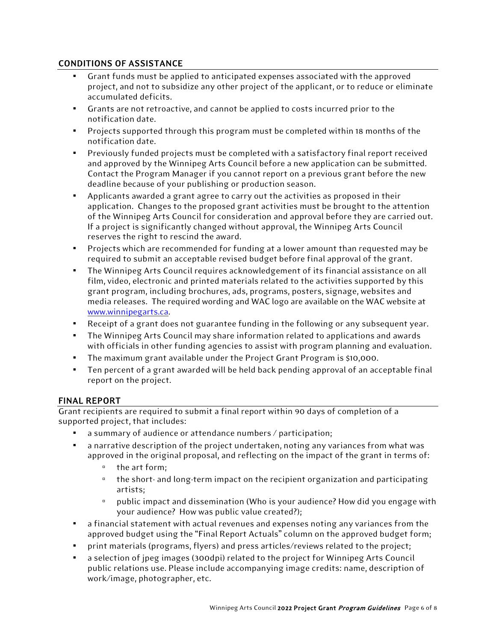### CONDITIONS OF ASSISTANCE

- Grant funds must be applied to anticipated expenses associated with the approved project, and not to subsidize any other project of the applicant, or to reduce or eliminate accumulated deficits.
- Grants are not retroactive, and cannot be applied to costs incurred prior to the notification date.
- Projects supported through this program must be completed within 18 months of the notification date.
- Previously funded projects must be completed with a satisfactory final report received and approved by the Winnipeg Arts Council before a new application can be submitted. Contact the Program Manager if you cannot report on a previous grant before the new deadline because of your publishing or production season.
- Applicants awarded a grant agree to carry out the activities as proposed in their application. Changes to the proposed grant activities must be brought to the attention of the Winnipeg Arts Council for consideration and approval before they are carried out. If a project is significantly changed without approval, the Winnipeg Arts Council reserves the right to rescind the award.
- Projects which are recommended for funding at a lower amount than requested may be required to submit an acceptable revised budget before final approval of the grant.
- The Winnipeg Arts Council requires acknowledgement of its financial assistance on all film, video, electronic and printed materials related to the activities supported by this grant program, including brochures, ads, programs, posters, signage, websites and media releases. The required wording and WAC logo are available on the WAC website at [www.winnipegarts.ca.](http://www.winnipegarts.ca/)
- Receipt of a grant does not guarantee funding in the following or any subsequent year.
- The Winnipeg Arts Council may share information related to applications and awards with officials in other funding agencies to assist with program planning and evaluation.
- The maximum grant available under the Project Grant Program is \$10,000.
- Ten percent of a grant awarded will be held back pending approval of an acceptable final report on the project.

### FINAL REPORT

Grant recipients are required to submit a final report within 90 days of completion of a supported project, that includes:

- a summary of audience or attendance numbers / participation;
- a narrative description of the project undertaken, noting any variances from what was approved in the original proposal, and reflecting on the impact of the grant in terms of:
	- the art form;
	- the short- and long-term impact on the recipient organization and participating artists;
	- public impact and dissemination (Who is your audience? How did you engage with your audience? How was public value created?);
- a financial statement with actual revenues and expenses noting any variances from the approved budget using the "Final Report Actuals" column on the approved budget form;
- print materials (programs, flyers) and press articles/reviews related to the project;
- a selection of jpeg images (300dpi) related to the project for Winnipeg Arts Council public relations use. Please include accompanying image credits: name, description of work/image, photographer, etc.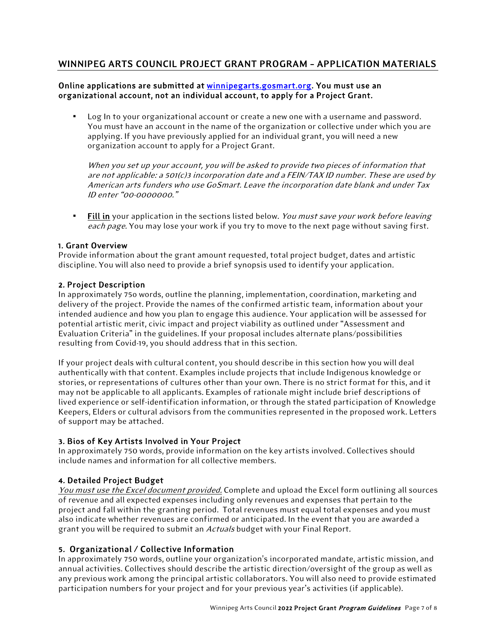# WINNIPEG ARTS COUNCIL PROJECT GRANT PROGRAM – APPLICATION MATERIALS

### Online applications are submitted at [winnipegarts.gosmart.org.](http://winnipegarts.gosmart.org/) You must use an organizational account, not an individual account, to apply for a Project Grant.

Log In to your organizational account or create a new one with a username and password. You must have an account in the name of the organization or collective under which you are applying. If you have previously applied for an individual grant, you will need a new organization account to apply for a Project Grant.

When you set up your account, you will be asked to provide two pieces of information that are not applicable: a 501(c)3 incorporation date and a FEIN/TAX ID number. These are used by American arts funders who use GoSmart. Leave the incorporation date blank and under Tax ID enter "00-0000000."

**Eill in** your application in the sections listed below. You must save your work before leaving each page. You may lose your work if you try to move to the next page without saving first.

### 1. Grant Overview

Provide information about the grant amount requested, total project budget, dates and artistic discipline. You will also need to provide a brief synopsis used to identify your application.

### 2. Project Description

In approximately 75o words, outline the planning, implementation, coordination, marketing and delivery of the project. Provide the names of the confirmed artistic team, information about your intended audience and how you plan to engage this audience. Your application will be assessed for potential artistic merit, civic impact and project viability as outlined under "Assessment and Evaluation Criteria" in the guidelines. If your proposal includes alternate plans/possibilities resulting from Covid-19, you should address that in this section.

If your project deals with cultural content, you should describe in this section how you will deal authentically with that content. Examples include projects that include Indigenous knowledge or stories, or representations of cultures other than your own. There is no strict format for this, and it may not be applicable to all applicants. Examples of rationale might include brief descriptions of lived experience or self-identification information, or through the stated participation of Knowledge Keepers, Elders or cultural advisors from the communities represented in the proposed work. Letters of support may be attached.

### 3. Bios of Key Artists Involved in Your Project

In approximately 750 words, provide information on the key artists involved. Collectives should include names and information for all collective members.

### 4. Detailed Project Budget

You must use the Excel document provided. Complete and upload the Excel form outlining all sources of revenue and all expected expenses including only revenues and expenses that pertain to the project and fall within the granting period. Total revenues must equal total expenses and you must also indicate whether revenues are confirmed or anticipated. In the event that you are awarded a grant you will be required to submit an Actuals budget with your Final Report.

### 5. Organizational / Collective Information

In approximately 750 words, outline your organization's incorporated mandate, artistic mission, and annual activities. Collectives should describe the artistic direction/oversight of the group as well as any previous work among the principal artistic collaborators. You will also need to provide estimated participation numbers for your project and for your previous year's activities (if applicable).